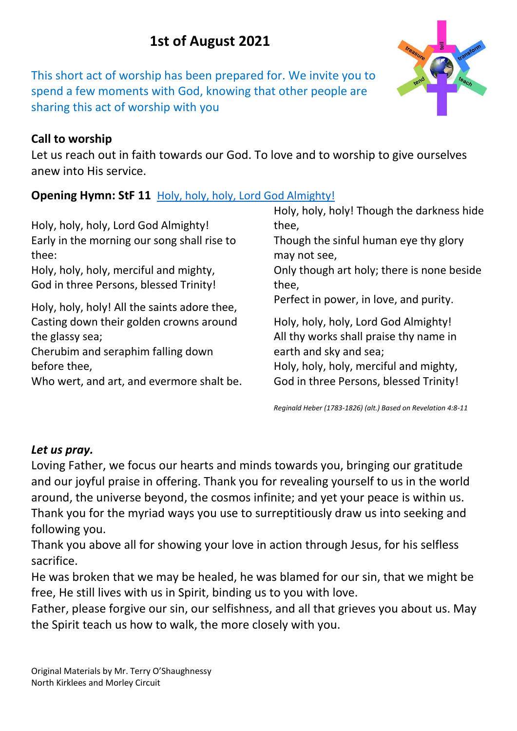# **1st of August 2021**

This short act of worship has been prepared for. We invite you to spend a few moments with God, knowing that other people are sharing this act of worship with you

### **Call to worship**

Let us reach out in faith towards our God. To love and to worship to give ourselves anew into His service.

# **Opening Hymn: StF 11** [Holy, holy, holy, Lord God Almighty!](https://www.youtube.com/watch?v=zzM9P_Gqw-s)

Holy, holy, holy, Lord God Almighty! Early in the morning our song shall rise to thee: Holy, holy, holy, merciful and mighty,

God in three Persons, blessed Trinity!

Holy, holy, holy! All the saints adore thee, Casting down their golden crowns around the glassy sea;

Cherubim and seraphim falling down before thee,

Who wert, and art, and evermore shalt be.

Holy, holy, holy! Though the darkness hide thee, Though the sinful human eye thy glory may not see, Only though art holy; there is none beside thee, Perfect in power, in love, and purity. Holy, holy, holy, Lord God Almighty! All thy works shall praise thy name in earth and sky and sea; Holy, holy, holy, merciful and mighty,

*Reginald Heber (1783-1826) (alt.) Based on Revelation 4:8-11*

God in three Persons, blessed Trinity!

#### *Let us pray.*

Loving Father, we focus our hearts and minds towards you, bringing our gratitude and our joyful praise in offering. Thank you for revealing yourself to us in the world around, the universe beyond, the cosmos infinite; and yet your peace is within us. Thank you for the myriad ways you use to surreptitiously draw us into seeking and following you.

Thank you above all for showing your love in action through Jesus, for his selfless sacrifice.

He was broken that we may be healed, he was blamed for our sin, that we might be free, He still lives with us in Spirit, binding us to you with love.

Father, please forgive our sin, our selfishness, and all that grieves you about us. May the Spirit teach us how to walk, the more closely with you.

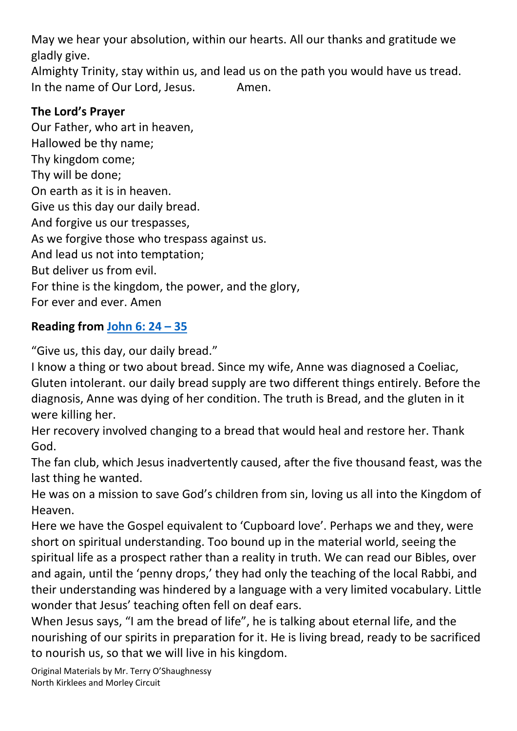May we hear your absolution, within our hearts. All our thanks and gratitude we gladly give.

Almighty Trinity, stay within us, and lead us on the path you would have us tread. In the name of Our Lord, Jesus. Amen.

#### **The Lord's Prayer**

Our Father, who art in heaven, Hallowed be thy name; Thy kingdom come; Thy will be done; On earth as it is in heaven. Give us this day our daily bread. And forgive us our trespasses, As we forgive those who trespass against us. And lead us not into temptation; But deliver us from evil. For thine is the kingdom, the power, and the glory, For ever and ever. Amen

# **Reading from [John](https://www.biblegateway.com/passage/?search=John%206%3A24-35&version=NIV) 6: 24 – 35**

"Give us, this day, our daily bread."

I know a thing or two about bread. Since my wife, Anne was diagnosed a Coeliac, Gluten intolerant. our daily bread supply are two different things entirely. Before the diagnosis, Anne was dying of her condition. The truth is Bread, and the gluten in it were killing her.

Her recovery involved changing to a bread that would heal and restore her. Thank God.

The fan club, which Jesus inadvertently caused, after the five thousand feast, was the last thing he wanted.

He was on a mission to save God's children from sin, loving us all into the Kingdom of Heaven.

Here we have the Gospel equivalent to 'Cupboard love'. Perhaps we and they, were short on spiritual understanding. Too bound up in the material world, seeing the spiritual life as a prospect rather than a reality in truth. We can read our Bibles, over and again, until the 'penny drops,' they had only the teaching of the local Rabbi, and their understanding was hindered by a language with a very limited vocabulary. Little wonder that Jesus' teaching often fell on deaf ears.

When Jesus says, "I am the bread of life", he is talking about eternal life, and the nourishing of our spirits in preparation for it. He is living bread, ready to be sacrificed to nourish us, so that we will live in his kingdom.

Original Materials by Mr. Terry O'Shaughnessy North Kirklees and Morley Circuit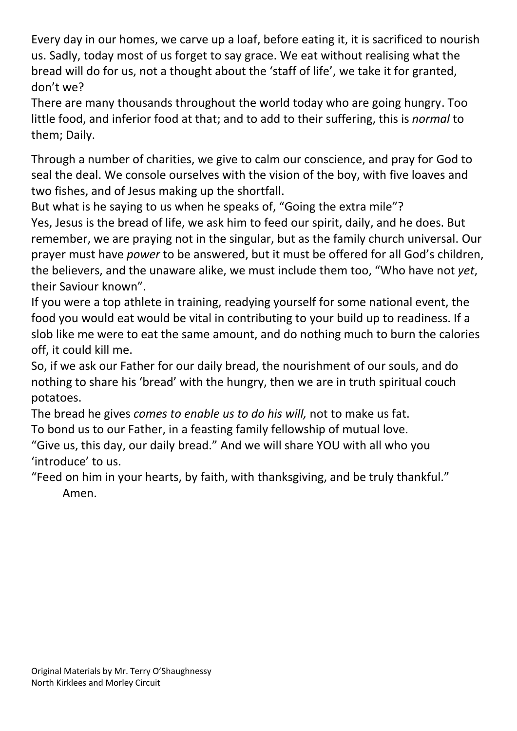Every day in our homes, we carve up a loaf, before eating it, it is sacrificed to nourish us. Sadly, today most of us forget to say grace. We eat without realising what the bread will do for us, not a thought about the 'staff of life', we take it for granted, don't we?

There are many thousands throughout the world today who are going hungry. Too little food, and inferior food at that; and to add to their suffering, this is *normal* to them; Daily.

Through a number of charities, we give to calm our conscience, and pray for God to seal the deal. We console ourselves with the vision of the boy, with five loaves and two fishes, and of Jesus making up the shortfall.

But what is he saying to us when he speaks of, "Going the extra mile"?

Yes, Jesus is the bread of life, we ask him to feed our spirit, daily, and he does. But remember, we are praying not in the singular, but as the family church universal. Our prayer must have *power* to be answered, but it must be offered for all God's children, the believers, and the unaware alike, we must include them too, "Who have not *yet*, their Saviour known".

If you were a top athlete in training, readying yourself for some national event, the food you would eat would be vital in contributing to your build up to readiness. If a slob like me were to eat the same amount, and do nothing much to burn the calories off, it could kill me.

So, if we ask our Father for our daily bread, the nourishment of our souls, and do nothing to share his 'bread' with the hungry, then we are in truth spiritual couch potatoes.

The bread he gives *comes to enable us to do his will,* not to make us fat. To bond us to our Father, in a feasting family fellowship of mutual love.

"Give us, this day, our daily bread." And we will share YOU with all who you 'introduce' to us.

"Feed on him in your hearts, by faith, with thanksgiving, and be truly thankful." Amen.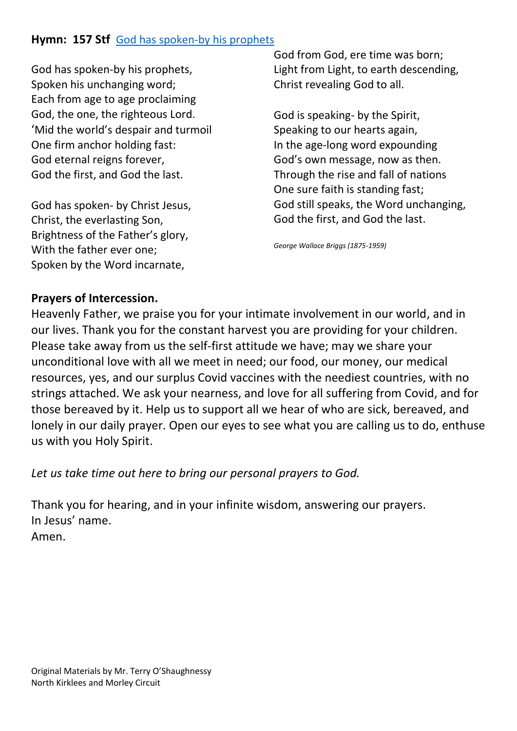#### **Hymn: 157 Stf** [God has spoken-by his prophets](https://www.youtube.com/watch?v=RoPiKqKTmbg)

God has spoken-by his prophets, Spoken his unchanging word; Each from age to age proclaiming God, the one, the righteous Lord. 'Mid the world's despair and turmoil One firm anchor holding fast: God eternal reigns forever, God the first, and God the last.

God has spoken- by Christ Jesus, Christ, the everlasting Son, Brightness of the Father's glory, With the father ever one; Spoken by the Word incarnate,

God from God, ere time was born; Light from Light, to earth descending, Christ revealing God to all.

God is speaking- by the Spirit, Speaking to our hearts again, In the age-long word expounding God's own message, now as then. Through the rise and fall of nations One sure faith is standing fast; God still speaks, the Word unchanging, God the first, and God the last.

*George Wallace Briggs (1875-1959)*

#### **Prayers of Intercession.**

Heavenly Father, we praise you for your intimate involvement in our world, and in our lives. Thank you for the constant harvest you are providing for your children. Please take away from us the self-first attitude we have; may we share your unconditional love with all we meet in need; our food, our money, our medical resources, yes, and our surplus Covid vaccines with the neediest countries, with no strings attached. We ask your nearness, and love for all suffering from Covid, and for those bereaved by it. Help us to support all we hear of who are sick, bereaved, and lonely in our daily prayer. Open our eyes to see what you are calling us to do, enthuse us with you Holy Spirit.

*Let us take time out here to bring our personal prayers to God.*

Thank you for hearing, and in your infinite wisdom, answering our prayers. In Jesus' name. Amen.